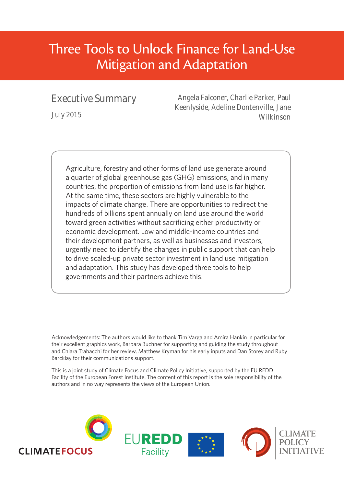# Three Tools to Unlock Finance for Land-Use Mitigation and Adaptation

## Executive Summary

July 2015

Angela Falconer, Charlie Parker, Paul Keenlyside, Adeline Dontenville, Jane Wilkinson

Agriculture, forestry and other forms of land use generate around a quarter of global greenhouse gas (GHG) emissions, and in many countries, the proportion of emissions from land use is far higher. At the same time, these sectors are highly vulnerable to the impacts of climate change. There are opportunities to redirect the hundreds of billions spent annually on land use around the world toward green activities without sacrificing either productivity or economic development. Low and middle-income countries and their development partners, as well as businesses and investors, urgently need to identify the changes in public support that can help to drive scaled-up private sector investment in land use mitigation and adaptation. This study has developed three tools to help governments and their partners achieve this.

Acknowledgements: The authors would like to thank Tim Varga and Amira Hankin in particular for their excellent graphics work, Barbara Buchner for supporting and guiding the study throughout and Chiara Trabacchi for her review, Matthew Kryman for his early inputs and Dan Storey and Ruby Barcklay for their communications support.

This is a joint study of Climate Focus and Climate Policy Initiative, supported by the EU REDD Facility of the European Forest Institute. The content of this report is the sole responsibility of the authors and in no way represents the views of the European Union.

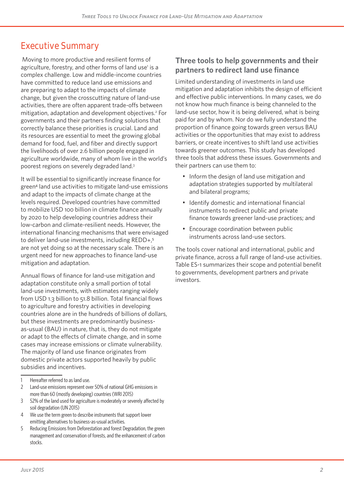# **Executive Summary**

Moving to more productive and resilient forms of agriculture, forestry, and other forms of land use<sup>1</sup> is a complex challenge. Low and middle-income countries have committed to reduce land use emissions and are preparing to adapt to the impacts of climate change, but given the crosscutting nature of land-use activities, there are often apparent trade-offs between mitigation, adaptation and development objectives.<sup>2</sup> For governments and their partners finding solutions that correctly balance these priorities is crucial. Land and its resources are essential to meet the growing global demand for food, fuel, and fiber and directly support the livelihoods of over 2.6 billion people engaged in agriculture worldwide, many of whom live in the world's poorest regions on severely degraded land.3

It will be essential to significantly increase finance for green<sup>4</sup> land use activities to mitigate land-use emissions and adapt to the impacts of climate change at the levels required. Developed countries have committed to mobilize USD 100 billion in climate finance annually by 2020 to help developing countries address their low-carbon and climate-resilient needs. However, the international financing mechanisms that were envisaged to deliver land-use investments, including REDD+,<sup>5</sup> are not yet doing so at the necessary scale. There is an urgent need for new approaches to finance land-use mitigation and adaptation.

Annual flows of finance for land-use mitigation and adaptation constitute only a small portion of total land-use investments, with estimates ranging widely from USD 1.3 billion to 51.8 billion. Total financial flows to agriculture and forestry activities in developing countries alone are in the hundreds of billions of dollars, but these investments are predominantly businessas-usual (BAU) in nature, that is, they do not mitigate or adapt to the effects of climate change, and in some cases may increase emissions or climate vulnerability. The majority of land use finance originates from domestic private actors supported heavily by public subsidies and incentives.

- 3 52% of the land used for agriculture is moderately or severely affected by soil degradation (UN 2015)
- 4 We use the term green to describe instruments that support lower emitting alternatives to business-as-usual activities.
- 5 Reducing Emissions from Deforestation and forest Degradation, the green management and conservation of forests, and the enhancement of carbon stocks.

### **Three tools to help governments and their partners to redirect land use finance**

Limited understanding of investments in land use mitigation and adaptation inhibits the design of efficient and effective public interventions. In many cases, we do not know how much finance is being channeled to the land-use sector, how it is being delivered, what is being paid for and by whom. Nor do we fully understand the proportion of finance going towards green versus BAU activities or the opportunities that may exist to address barriers, or create incentives to shift land use activities towards greener outcomes. This study has developed three tools that address these issues. Governments and their partners can use them to:

- Inform the design of land use mitigation and adaptation strategies supported by multilateral and bilateral programs;
- Identify domestic and international financial instruments to redirect public and private finance towards greener land-use practices; and
- Encourage coordination between public instruments across land-use sectors.

The tools cover national and international, public and private finance, across a full range of land-use activities. Table ES-1 summarizes their scope and potential benefit to governments, development partners and private investors.

<sup>1</sup> Hereafter referred to as land use.

<sup>2</sup> Land-use emissions represent over 50% of national GHG emissions in more than 60 (mostly developing) countries (WRI 2015)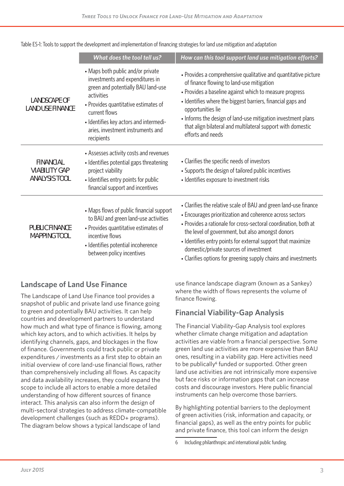|                                                                  | What does the tool tell us?                                                                                                                                                                                                                                                    | How can this tool support land use mitigation efforts?                                                                                                                                                                                                                                                                                                                                                                          |
|------------------------------------------------------------------|--------------------------------------------------------------------------------------------------------------------------------------------------------------------------------------------------------------------------------------------------------------------------------|---------------------------------------------------------------------------------------------------------------------------------------------------------------------------------------------------------------------------------------------------------------------------------------------------------------------------------------------------------------------------------------------------------------------------------|
| <b>LANDSCAPE OF</b><br><b>LAND USE FINANCE</b>                   | • Maps both public and/or private<br>investments and expenditures in<br>green and potentially BAU land-use<br>activities<br>• Provides quantitative estimates of<br>current flows<br>- Identifies key actors and intermedi-<br>aries, investment instruments and<br>recipients | • Provides a comprehensive qualitative and quantitative picture<br>of finance flowing to land-use mitigation<br>• Provides a baseline against which to measure progress<br>• Identifies where the biggest barriers, financial gaps and<br>opportunities lie<br>. Informs the design of land-use mitigation investment plans<br>that align bilateral and multilateral support with domestic<br>efforts and needs                 |
| <b>FINANCIAL</b><br><b>VIABILITY GAP</b><br><b>ANALYSIS TOOL</b> | • Assesses activity costs and revenues<br>• Identifies potential gaps threatening<br>project viability<br>• Identifies entry points for public<br>financial support and incentives                                                                                             | • Clarifies the specific needs of investors<br>• Supports the design of tailored public incentives<br>• Identifies exposure to investment risks                                                                                                                                                                                                                                                                                 |
| <b>PUBLIC FINANCE</b><br><b>MAPPING TOOL</b>                     | • Maps flows of public financial support<br>to BAU and green land-use activities<br>• Provides quantitative estimates of<br>incentive flows<br>• Identifies potential incoherence<br>between policy incentives                                                                 | • Clarifies the relative scale of BAU and green land-use finance<br>• Encourages prioritization and coherence across sectors<br>• Provides a rationale for cross-sectoral coordination, both at<br>the level of government, but also amongst donors<br>• Identifies entry points for external support that maximize<br>domestic/private sources of investment<br>• Clarifies options for greening supply chains and investments |

Table ES-1: Tools to support the development and implementation of financing strategies for land use mitigation and adaptation

### **Landscape of Land Use Finance**

The Landscape of Land Use Finance tool provides a snapshot of public and private land use finance going to green and potentially BAU activities. It can help countries and development partners to understand how much and what type of finance is flowing, among which key actors, and to which activities. It helps by identifying channels, gaps, and blockages in the flow of finance. Governments could track public or private expenditures / investments as a first step to obtain an initial overview of core land-use financial flows, rather than comprehensively including all flows. As capacity and data availability increases, they could expand the scope to include all actors to enable a more detailed understanding of how different sources of finance interact. This analysis can also inform the design of multi-sectoral strategies to address climate-compatible development challenges (such as REDD+ programs). The diagram below shows a typical landscape of land

use finance landscape diagram (known as a Sankey) where the width of flows represents the volume of finance flowing.

### **Financial Viability-Gap Analysis**

The Financial Viability-Gap Analysis tool explores whether climate change mitigation and adaptation activities are viable from a financial perspective. Some green land use activities are more expensive than BAU ones, resulting in a viability gap. Here activities need to be publically<sup>6</sup> funded or supported. Other green land use activities are not intrinsically more expensive but face risks or information gaps that can increase costs and discourage investors. Here public financial instruments can help overcome those barriers.

By highlighting potential barriers to the deployment of green activities (risk, information and capacity, or financial gaps), as well as the entry points for public and private finance, this tool can inform the design

<sup>6</sup> Including philanthropic and international public funding.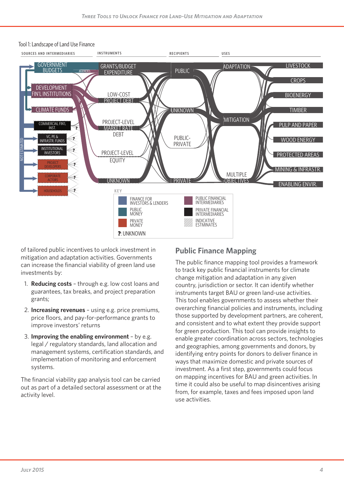

#### Tool 1: Landscape of Land Use Finance

of tailored public incentives to unlock investment in mitigation and adaptation activities. Governments can increase the financial viability of green land use investments by:

- 1. **Reducing costs** through e.g. low cost loans and guarantees, tax breaks, and project preparation grants;
- 2. **Increasing revenues** using e.g. price premiums, price floors, and pay-for-performance grants to improve investors' returns
- 3. **Improving the enabling environment** by e.g. legal / regulatory standards, land allocation and management systems, certification standards, and implementation of monitoring and enforcement systems.

The financial viability gap analysis tool can be carried out as part of a detailed sectoral assessment or at the activity level.

### **Public Finance Mapping**

The public finance mapping tool provides a framework to track key public financial instruments for climate change mitigation and adaptation in any given country, jurisdiction or sector. It can identify whether instruments target BAU or green land-use activities. This tool enables governments to assess whether their overarching financial policies and instruments, including those supported by development partners, are coherent, and consistent and to what extent they provide support for green production. This tool can provide insights to enable greater coordination across sectors, technologies and geographies, among governments and donors, by identifying entry points for donors to deliver finance in ways that maximize domestic and private sources of investment. As a first step, governments could focus on mapping incentives for BAU and green activities. In time it could also be useful to map disincentives arising from, for example, taxes and fees imposed upon land use activities.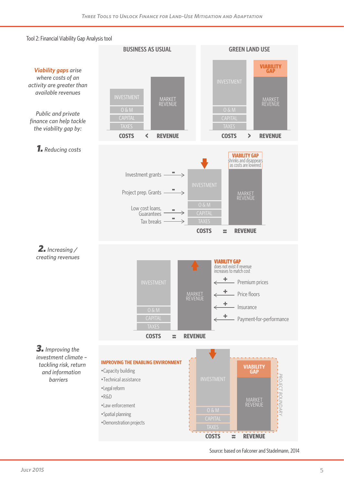